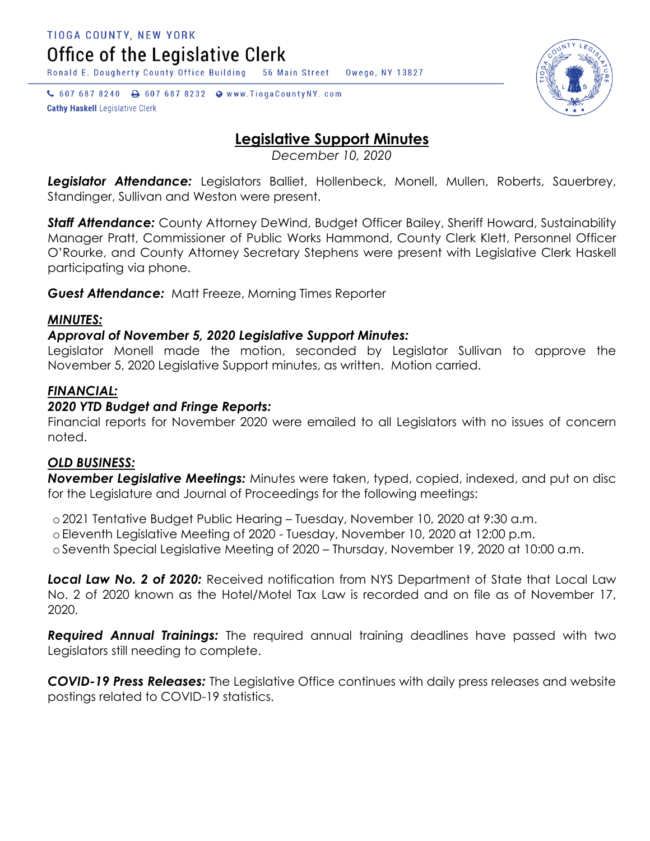Office of the Legislative Clerk

Ronald E. Dougherty County Office Building 56 Main Street Owego, NY 13827

↓ 607 687 8240 → 607 687 8232 → www.TiogaCountyNY.com **Cathy Haskell Legislative Clerk** 



# **Legislative Support Minutes**

*December 10, 2020*

*Legislator Attendance:* Legislators Balliet, Hollenbeck, Monell, Mullen, Roberts, Sauerbrey, Standinger, Sullivan and Weston were present.

**Staff Attendance:** County Attorney DeWind, Budget Officer Bailey, Sheriff Howard, Sustainability Manager Pratt, Commissioner of Public Works Hammond, County Clerk Klett, Personnel Officer O'Rourke, and County Attorney Secretary Stephens were present with Legislative Clerk Haskell participating via phone.

*Guest Attendance:* Matt Freeze, Morning Times Reporter

# *MINUTES:*

# *Approval of November 5, 2020 Legislative Support Minutes:*

Legislator Monell made the motion, seconded by Legislator Sullivan to approve the November 5, 2020 Legislative Support minutes, as written. Motion carried.

# *FINANCIAL:*

# *2020 YTD Budget and Fringe Reports:*

Financial reports for November 2020 were emailed to all Legislators with no issues of concern noted.

## *OLD BUSINESS:*

*November Legislative Meetings:* Minutes were taken, typed, copied, indexed, and put on disc for the Legislature and Journal of Proceedings for the following meetings:

o 2021 Tentative Budget Public Hearing – Tuesday, November 10, 2020 at 9:30 a.m.

o Eleventh Legislative Meeting of 2020 - Tuesday, November 10, 2020 at 12:00 p.m.

o Seventh Special Legislative Meeting of 2020 – Thursday, November 19, 2020 at 10:00 a.m.

*Local Law No. 2 of 2020:* Received notification from NYS Department of State that Local Law No. 2 of 2020 known as the Hotel/Motel Tax Law is recorded and on file as of November 17, 2020.

*Required Annual Trainings:* The required annual training deadlines have passed with two Legislators still needing to complete.

*COVID-19 Press Releases:* The Legislative Office continues with daily press releases and website postings related to COVID-19 statistics.